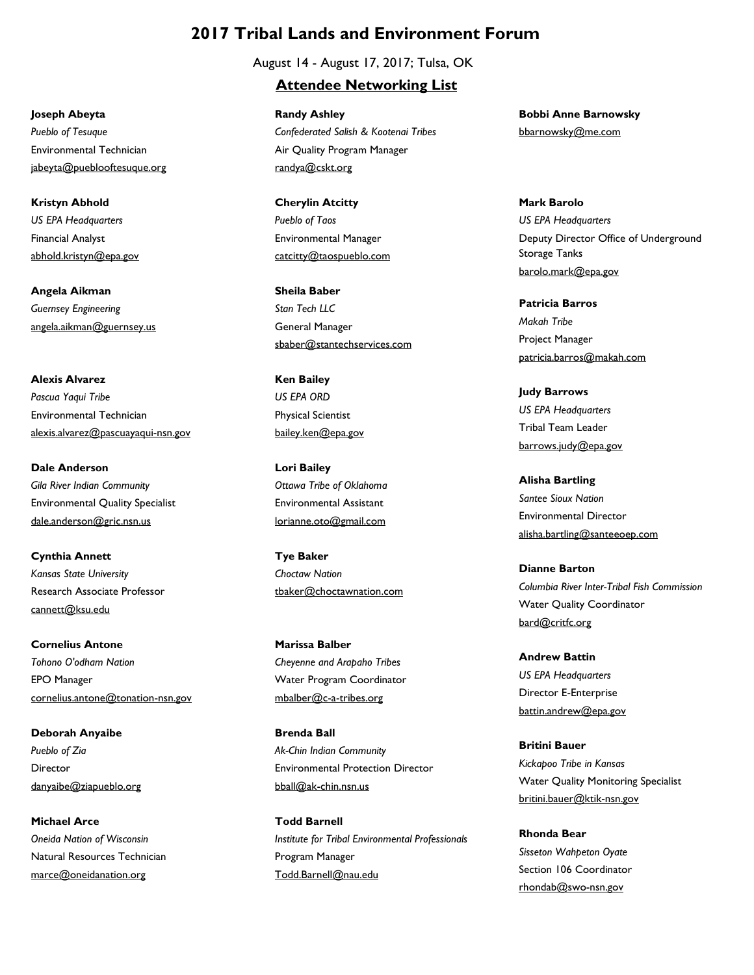## **2017 Tribal Lands and Environment Forum**

August 14 - August 17, 2017; Tulsa, OK

## **Attendee Networking List**

Air Quality Program Manager randya@cskt.org **Randy Ashley** *Confederated Salish & Kootenai Tribes*

Environmental Manager catcitty@taospueblo.com **Cherylin Atcitty** *Pueblo of Taos*

General Manager sbaber@stantechservices.com **Sheila Baber** *Stan Tech LLC*

Physical Scientist bailey.ken@epa.gov **Ken Bailey** *US EPA ORD*

Environmental Assistant lorianne.oto@gmail.com **Lori Bailey** *Ottawa Tribe of Oklahoma*

tbaker@choctawnation.com **Tye Baker** *Choctaw Nation*

Water Program Coordinator mbalber@c-a-tribes.org **Marissa Balber** *Cheyenne and Arapaho Tribes*

Environmental Protection Director bball@ak-chin.nsn.us **Brenda Ball** *Ak-Chin Indian Community*

Program Manager Todd.Barnell@nau.edu **Todd Barnell** *Institute for Tribal Environmental Professionals* bbarnowsky@me.com **Bobbi Anne Barnowsky**

Deputy Director Office of Underground Storage Tanks barolo.mark@epa.gov **Mark Barolo** *US EPA Headquarters*

Project Manager patricia.barros@makah.com **Patricia Barros** *Makah Tribe*

Tribal Team Leader barrows.judy@epa.gov **Judy Barrows** *US EPA Headquarters*

Environmental Director alisha.bartling@santeeoep.com **Alisha Bartling** *Santee Sioux Nation*

Water Quality Coordinator bard@critfc.org **Dianne Barton** *Columbia River Inter-Tribal Fish Commission*

Director E-Enterprise battin.andrew@epa.gov **Andrew Battin** *US EPA Headquarters*

Water Quality Monitoring Specialist britini.bauer@ktik-nsn.gov **Britini Bauer** *Kickapoo Tribe in Kansas*

Section 106 Coordinator rhondab@swo-nsn.gov **Rhonda Bear** *Sisseton Wahpeton Oyate*

Environmental Technician jabeyta@pueblooftesuque.org **Joseph Abeyta** *Pueblo of Tesuque*

Financial Analyst abhold.kristyn@epa.gov **Kristyn Abhold** *US EPA Headquarters*

angela.aikman@guernsey.us **Angela Aikman** *Guernsey Engineering*

Environmental Technician alexis.alvarez@pascuayaqui-nsn.gov **Alexis Alvarez** *Pascua Yaqui Tribe*

Environmental Quality Specialist dale.anderson@gric.nsn.us **Dale Anderson** *Gila River Indian Community*

Research Associate Professor cannett@ksu.edu **Cynthia Annett** *Kansas State University*

EPO Manager cornelius.antone@tonation-nsn.gov **Cornelius Antone** *Tohono O'odham Nation*

Director danyaibe@ziapueblo.org **Deborah Anyaibe** *Pueblo of Zia*

Natural Resources Technician marce@oneidanation.org **Michael Arce** *Oneida Nation of Wisconsin*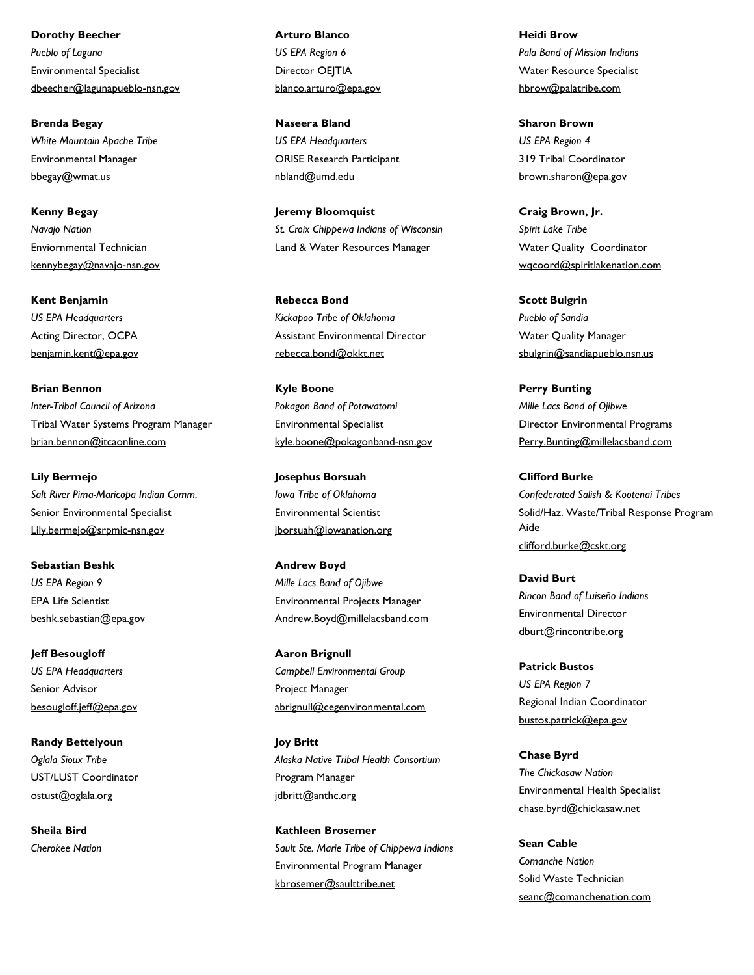Environmental Specialist dbeecher@lagunapueblo-nsn.gov **Dorothy Beecher** *Pueblo of Laguna*

Environmental Manager bbegay@wmat.us **Brenda Begay** *White Mountain Apache Tribe*

Enviornmental Technician kennybegay@navajo-nsn.gov **Kenny Begay** *Navajo Nation*

Acting Director, OCPA benjamin.kent@epa.gov **Kent Benjamin** *US EPA Headquarters*

Tribal Water Systems Program Manager brian.bennon@itcaonline.com **Brian Bennon** *Inter-Tribal Council of Arizona*

Senior Environmental Specialist Lily.bermejo@srpmic-nsn.gov **Lily Bermejo** *Salt River Pima-Maricopa Indian Comm.*

EPA Life Scientist beshk.sebastian@epa.gov **Sebastian Beshk** *US EPA Region 9*

Senior Advisor besougloff.jeff@epa.gov **Jeff Besougloff** *US EPA Headquarters*

UST/LUST Coordinator ostust@oglala.org **Randy Bettelyoun** *Oglala Sioux Tribe*

**Sheila Bird** *Cherokee Nation* Director OEITIA blanco.arturo@epa.gov **Arturo Blanco** *US EPA Region 6*

ORISE Research Participant nbland@umd.edu **Naseera Bland** *US EPA Headquarters*

Land & Water Resources Manager **Jeremy Bloomquist** *St. Croix Chippewa Indians of Wisconsin*

Assistant Environmental Director rebecca.bond@okkt.net **Rebecca Bond** *Kickapoo Tribe of Oklahoma*

Environmental Specialist kyle.boone@pokagonband-nsn.gov **Kyle Boone** *Pokagon Band of Potawatomi*

Environmental Scientist jborsuah@iowanation.org **Josephus Borsuah** *Iowa Tribe of Oklahoma*

Environmental Projects Manager Andrew.Boyd@millelacsband.com **Andrew Boyd** *Mille Lacs Band of Ojibwe*

Project Manager abrignull@cegenvironmental.com **Aaron Brignull** *Campbell Environmental Group*

Program Manager jdbritt@anthc.org **Joy Britt** *Alaska Native Tribal Health Consortium*

Environmental Program Manager kbrosemer@saulttribe.net **Kathleen Brosemer** *Sault Ste. Marie Tribe of Chippewa Indians* Water Resource Specialist hbrow@palatribe.com **Heidi Brow** *Pala Band of Mission Indians*

319 Tribal Coordinator brown.sharon@epa.gov **Sharon Brown** *US EPA Region 4*

Water Quality Coordinator wqcoord@spiritlakenation.com **Craig Brown, Jr.** *Spirit Lake Tribe*

Water Quality Manager sbulgrin@sandiapueblo.nsn.us **Scott Bulgrin** *Pueblo of Sandia*

Director Environmental Programs Perry.Bunting@millelacsband.com **Perry Bunting** *Mille Lacs Band of Ojibwe*

Solid/Haz. Waste/Tribal Response Program Aide clifford.burke@cskt.org **Clifford Burke** *Confederated Salish & Kootenai Tribes*

Environmental Director dburt@rincontribe.org **David Burt** *Rincon Band of Luiseño Indians*

Regional Indian Coordinator bustos.patrick@epa.gov **Patrick Bustos** *US EPA Region 7*

Environmental Health Specialist chase.byrd@chickasaw.net **Chase Byrd** *The Chickasaw Nation*

Solid Waste Technician seanc@comanchenation.com **Sean Cable** *Comanche Nation*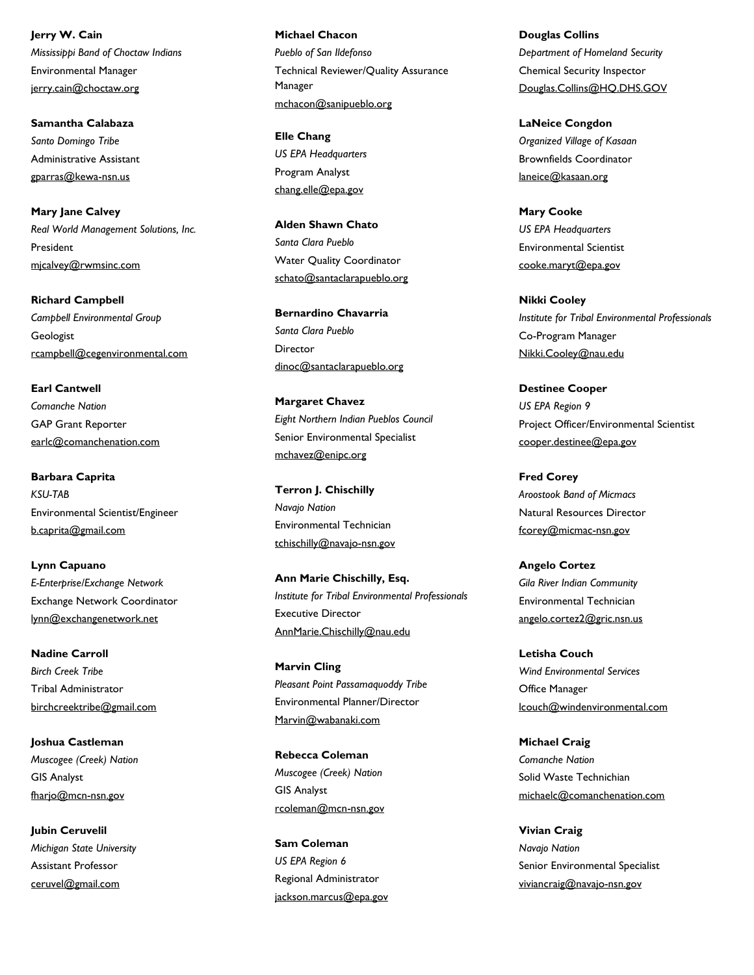Environmental Manager jerry.cain@choctaw.org **Jerry W. Cain** *Mississippi Band of Choctaw Indians*

Administrative Assistant gparras@kewa-nsn.us **Samantha Calabaza** *Santo Domingo Tribe*

President mjcalvey@rwmsinc.com **Mary Jane Calvey** *Real World Management Solutions, Inc.*

Geologist rcampbell@cegenvironmental.com **Richard Campbell** *Campbell Environmental Group*

GAP Grant Reporter earlc@comanchenation.com **Earl Cantwell** *Comanche Nation*

Environmental Scientist/Engineer b.caprita@gmail.com **Barbara Caprita** *KSU-TAB*

Exchange Network Coordinator lynn@exchangenetwork.net **Lynn Capuano** *E-Enterprise/Exchange Network*

Tribal Administrator birchcreektribe@gmail.com **Nadine Carroll** *Birch Creek Tribe*

GIS Analyst fharjo@mcn-nsn.gov **Joshua Castleman** *Muscogee (Creek) Nation*

Assistant Professor ceruvel@gmail.com **Jubin Ceruvelil** *Michigan State University* Technical Reviewer/Quality Assurance Manager mchacon@sanipueblo.org **Michael Chacon** *Pueblo of San Ildefonso*

Program Analyst chang.elle@epa.gov **Elle Chang** *US EPA Headquarters*

Water Quality Coordinator schato@santaclarapueblo.org **Alden Shawn Chato** *Santa Clara Pueblo*

Director dinoc@santaclarapueblo.org **Bernardino Chavarria** *Santa Clara Pueblo*

Senior Environmental Specialist mchavez@enipc.org **Margaret Chavez** *Eight Northern Indian Pueblos Council*

Environmental Technician tchischilly@navajo-nsn.gov **Terron J. Chischilly** *Navajo Nation*

Executive Director AnnMarie.Chischilly@nau.edu **Ann Marie Chischilly, Esq.** *Institute for Tribal Environmental Professionals*

Environmental Planner/Director Marvin@wabanaki.com **Marvin Cling** *Pleasant Point Passamaquoddy Tribe*

GIS Analyst rcoleman@mcn-nsn.gov **Rebecca Coleman** *Muscogee (Creek) Nation*

Regional Administrator jackson.marcus@epa.gov **Sam Coleman** *US EPA Region 6*

Chemical Security Inspector Douglas.Collins@HQ.DHS.GOV **Douglas Collins** *Department of Homeland Security*

Brownfields Coordinator laneice@kasaan.org **LaNeice Congdon** *Organized Village of Kasaan*

Environmental Scientist cooke.maryt@epa.gov **Mary Cooke** *US EPA Headquarters*

Co-Program Manager Nikki.Cooley@nau.edu **Nikki Cooley** *Institute for Tribal Environmental Professionals*

Project Officer/Environmental Scientist cooper.destinee@epa.gov **Destinee Cooper** *US EPA Region 9*

Natural Resources Director fcorey@micmac-nsn.gov **Fred Corey** *Aroostook Band of Micmacs*

Environmental Technician angelo.cortez2@gric.nsn.us **Angelo Cortez** *Gila River Indian Community*

Office Manager lcouch@windenvironmental.com **Letisha Couch** *Wind Environmental Services*

Solid Waste Technichian michaelc@comanchenation.com **Michael Craig** *Comanche Nation*

Senior Environmental Specialist viviancraig@navajo-nsn.gov **Vivian Craig** *Navajo Nation*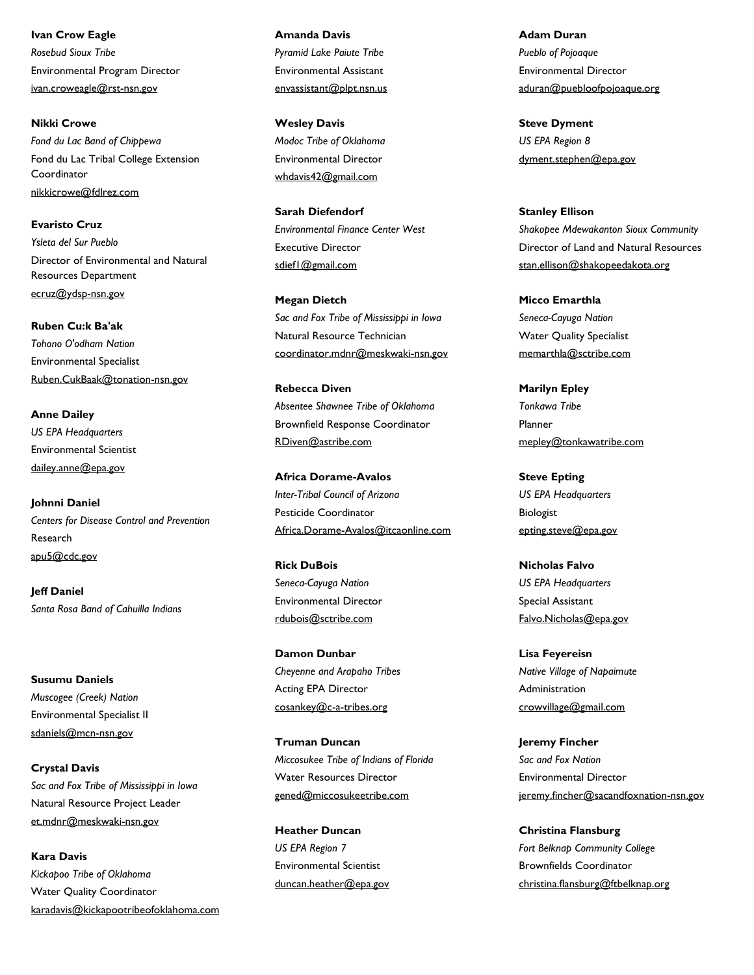Environmental Program Director ivan.croweagle@rst-nsn.gov **Ivan Crow Eagle** *Rosebud Sioux Tribe*

Fond du Lac Tribal College Extension Coordinator nikkicrowe@fdlrez.com **Nikki Crowe** *Fond du Lac Band of Chippewa*

Director of Environmental and Natural Resources Department ecruz@ydsp-nsn.gov **Evaristo Cruz** *Ysleta del Sur Pueblo*

Environmental Specialist Ruben.CukBaak@tonation-nsn.gov **Ruben Cu:k Ba'ak** *Tohono O'odham Nation*

Environmental Scientist dailey.anne@epa.gov **Anne Dailey** *US EPA Headquarters*

Research apu5@cdc.gov **Johnni Daniel** *Centers for Disease Control and Prevention*

**Jeff Daniel** *Santa Rosa Band of Cahuilla Indians*

Environmental Specialist II sdaniels@mcn-nsn.gov **Susumu Daniels** *Muscogee (Creek) Nation*

Natural Resource Project Leader et.mdnr@meskwaki-nsn.gov **Crystal Davis** *Sac and Fox Tribe of Mississippi in Iowa*

Water Quality Coordinator karadavis@kickapootribeofoklahoma.com **Kara Davis** *Kickapoo Tribe of Oklahoma*

Environmental Assistant envassistant@plpt.nsn.us **Amanda Davis** *Pyramid Lake Paiute Tribe*

Environmental Director whdavis42@gmail.com **Wesley Davis** *Modoc Tribe of Oklahoma*

Executive Director sdief1@gmail.com **Sarah Diefendorf** *Environmental Finance Center West*

Natural Resource Technician coordinator.mdnr@meskwaki-nsn.gov **Megan Dietch** *Sac and Fox Tribe of Mississippi in Iowa*

Brownfield Response Coordinator RDiven@astribe.com **Rebecca Diven** *Absentee Shawnee Tribe of Oklahoma*

Pesticide Coordinator Africa.Dorame-Avalos@itcaonline.com **Africa Dorame-Avalos** *Inter-Tribal Council of Arizona*

Environmental Director rdubois@sctribe.com **Rick DuBois** *Seneca-Cayuga Nation*

Acting EPA Director cosankey@c-a-tribes.org **Damon Dunbar** *Cheyenne and Arapaho Tribes*

Water Resources Director gened@miccosukeetribe.com **Truman Duncan** *Miccosukee Tribe of Indians of Florida*

Environmental Scientist duncan.heather@epa.gov **Heather Duncan** *US EPA Region 7*

Environmental Director aduran@puebloofpojoaque.org **Adam Duran** *Pueblo of Pojoaque*

dyment.stephen@epa.gov **Steve Dyment** *US EPA Region 8*

Director of Land and Natural Resources stan.ellison@shakopeedakota.org **Stanley Ellison** *Shakopee Mdewakanton Sioux Community*

Water Quality Specialist memarthla@sctribe.com **Micco Emarthla** *Seneca-Cayuga Nation*

Planner mepley@tonkawatribe.com **Marilyn Epley** *Tonkawa Tribe*

Biologist epting.steve@epa.gov **Steve Epting** *US EPA Headquarters*

Special Assistant Falvo.Nicholas@epa.gov **Nicholas Falvo** *US EPA Headquarters*

Administration crowvillage@gmail.com **Lisa Feyereisn** *Native Village of Napaimute*

Environmental Director jeremy.fincher@sacandfoxnation-nsn.gov **Jeremy Fincher** *Sac and Fox Nation*

Brownfields Coordinator christina.flansburg@ftbelknap.org **Christina Flansburg** *Fort Belknap Community College*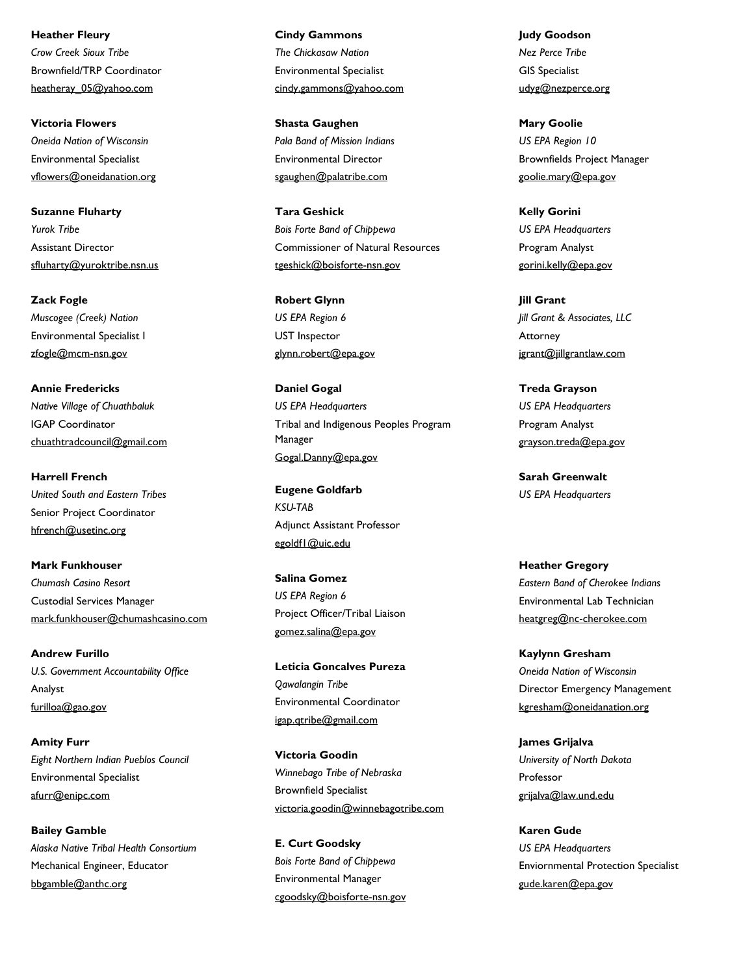Brownfield/TRP Coordinator heatheray\_05@yahoo.com **Heather Fleury** *Crow Creek Sioux Tribe*

Environmental Specialist vflowers@oneidanation.org **Victoria Flowers** *Oneida Nation of Wisconsin*

Assistant Director sfluharty@yuroktribe.nsn.us **Suzanne Fluharty** *Yurok Tribe*

Environmental Specialist I zfogle@mcm-nsn.gov **Zack Fogle** *Muscogee (Creek) Nation*

IGAP Coordinator chuathtradcouncil@gmail.com **Annie Fredericks** *Native Village of Chuathbaluk*

Senior Project Coordinator hfrench@usetinc.org **Harrell French** *United South and Eastern Tribes*

Custodial Services Manager mark.funkhouser@chumashcasino.com **Mark Funkhouser** *Chumash Casino Resort*

Analyst furilloa@gao.gov **Andrew Furillo** *U.S. Government Accountability Office*

Environmental Specialist afurr@enipc.com **Amity Furr** *Eight Northern Indian Pueblos Council*

Mechanical Engineer, Educator bbgamble@anthc.org **Bailey Gamble** *Alaska Native Tribal Health Consortium* Environmental Specialist cindy.gammons@yahoo.com **Cindy Gammons** *The Chickasaw Nation*

Environmental Director sgaughen@palatribe.com **Shasta Gaughen** *Pala Band of Mission Indians*

Commissioner of Natural Resources tgeshick@boisforte-nsn.gov **Tara Geshick** *Bois Forte Band of Chippewa*

UST Inspector glynn.robert@epa.gov **Robert Glynn** *US EPA Region 6*

Tribal and Indigenous Peoples Program Manager Gogal.Danny@epa.gov **Daniel Gogal** *US EPA Headquarters*

Adjunct Assistant Professor egoldf1@uic.edu **Eugene Goldfarb** *KSU-TAB*

Project Officer/Tribal Liaison gomez.salina@epa.gov **Salina Gomez** *US EPA Region 6*

Environmental Coordinator igap.qtribe@gmail.com **Leticia Goncalves Pureza** *Qawalangin Tribe*

Brownfield Specialist victoria.goodin@winnebagotribe.com **Victoria Goodin** *Winnebago Tribe of Nebraska*

Environmental Manager cgoodsky@boisforte-nsn.gov **E. Curt Goodsky** *Bois Forte Band of Chippewa*

GIS Specialist udyg@nezperce.org **Judy Goodson** *Nez Perce Tribe*

Brownfields Project Manager goolie.mary@epa.gov **Mary Goolie** *US EPA Region 10*

Program Analyst gorini.kelly@epa.gov **Kelly Gorini** *US EPA Headquarters*

Attorney jgrant@jillgrantlaw.com **Jill Grant** *Jill Grant & Associates, LLC*

Program Analyst grayson.treda@epa.gov **Treda Grayson** *US EPA Headquarters*

**Sarah Greenwalt** *US EPA Headquarters*

Environmental Lab Technician heatgreg@nc-cherokee.com **Heather Gregory** *Eastern Band of Cherokee Indians*

Director Emergency Management kgresham@oneidanation.org **Kaylynn Gresham** *Oneida Nation of Wisconsin*

Professor grijalva@law.und.edu **James Grijalva** *University of North Dakota*

Enviornmental Protection Specialist gude.karen@epa.gov **Karen Gude** *US EPA Headquarters*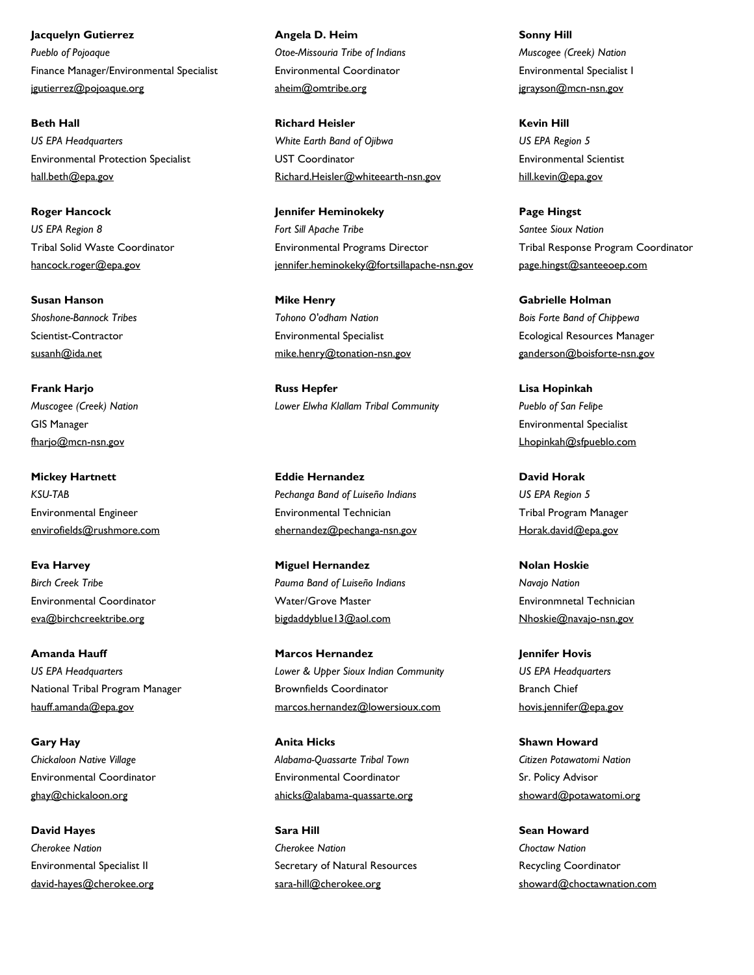Finance Manager/Environmental Specialist jgutierrez@pojoaque.org **Jacquelyn Gutierrez** *Pueblo of Pojoaque*

Environmental Protection Specialist hall.beth@epa.gov **Beth Hall** *US EPA Headquarters*

Tribal Solid Waste Coordinator hancock.roger@epa.gov **Roger Hancock** *US EPA Region 8*

Scientist-Contractor susanh@ida.net **Susan Hanson** *Shoshone-Bannock Tribes*

GIS Manager fharjo@mcn-nsn.gov **Frank Harjo** *Muscogee (Creek) Nation*

Environmental Engineer envirofields@rushmore.com **Mickey Hartnett** *KSU-TAB*

Environmental Coordinator eva@birchcreektribe.org **Eva Harvey** *Birch Creek Tribe*

National Tribal Program Manager hauff.amanda@epa.gov **Amanda Hauff** *US EPA Headquarters*

Environmental Coordinator ghay@chickaloon.org **Gary Hay** *Chickaloon Native Village*

Environmental Specialist II david-hayes@cherokee.org **David Hayes** *Cherokee Nation*

Environmental Coordinator aheim@omtribe.org **Angela D. Heim** *Otoe-Missouria Tribe of Indians*

UST Coordinator Richard.Heisler@whiteearth-nsn.gov **Richard Heisler** *White Earth Band of Ojibwa*

Environmental Programs Director jennifer.heminokeky@fortsillapache-nsn.gov **Jennifer Heminokeky** *Fort Sill Apache Tribe*

Environmental Specialist mike.henry@tonation-nsn.gov **Mike Henry** *Tohono O'odham Nation*

**Russ Hepfer** *Lower Elwha Klallam Tribal Community*

Environmental Technician ehernandez@pechanga-nsn.gov **Eddie Hernandez** *Pechanga Band of Luiseño Indians*

Water/Grove Master bigdaddyblue13@aol.com **Miguel Hernandez** *Pauma Band of Luiseño Indians*

Brownfields Coordinator marcos.hernandez@lowersioux.com **Marcos Hernandez** *Lower & Upper Sioux Indian Community*

Environmental Coordinator ahicks@alabama-quassarte.org **Anita Hicks** *Alabama-Quassarte Tribal Town*

Secretary of Natural Resources sara-hill@cherokee.org **Sara Hill** *Cherokee Nation*

Environmental Specialist I jgrayson@mcn-nsn.gov **Sonny Hill** *Muscogee (Creek) Nation*

Environmental Scientist hill.kevin@epa.gov **Kevin Hill** *US EPA Region 5*

Tribal Response Program Coordinator page.hingst@santeeoep.com **Page Hingst** *Santee Sioux Nation*

Ecological Resources Manager ganderson@boisforte-nsn.gov **Gabrielle Holman** *Bois Forte Band of Chippewa*

Environmental Specialist Lhopinkah@sfpueblo.com **Lisa Hopinkah** *Pueblo of San Felipe*

Tribal Program Manager Horak.david@epa.gov **David Horak** *US EPA Region 5*

Environmnetal Technician Nhoskie@navajo-nsn.gov **Nolan Hoskie** *Navajo Nation*

Branch Chief hovis.jennifer@epa.gov **Jennifer Hovis** *US EPA Headquarters*

Sr. Policy Advisor showard@potawatomi.org **Shawn Howard** *Citizen Potawatomi Nation*

Recycling Coordinator showard@choctawnation.com **Sean Howard** *Choctaw Nation*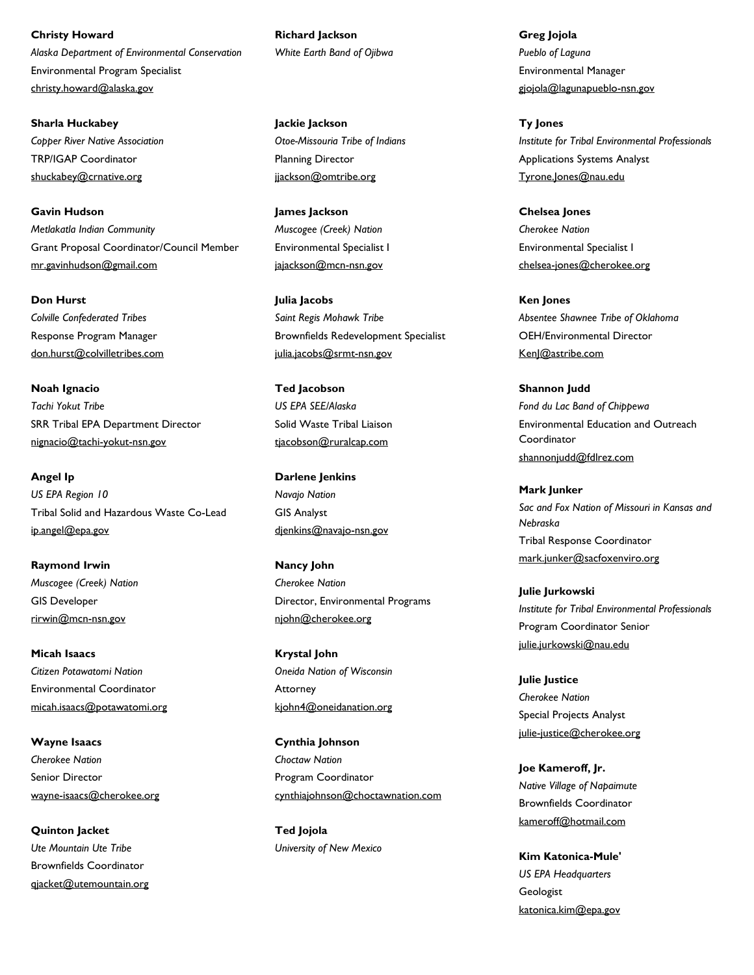Environmental Program Specialist christy.howard@alaska.gov **Christy Howard** *Alaska Department of Environmental Conservation*

TRP/IGAP Coordinator shuckabey@crnative.org **Sharla Huckabey** *Copper River Native Association*

Grant Proposal Coordinator/Council Member mr.gavinhudson@gmail.com **Gavin Hudson** *Metlakatla Indian Community*

Response Program Manager don.hurst@colvilletribes.com **Don Hurst** *Colville Confederated Tribes*

SRR Tribal EPA Department Director nignacio@tachi-yokut-nsn.gov **Noah Ignacio** *Tachi Yokut Tribe*

Tribal Solid and Hazardous Waste Co-Lead ip.angel@epa.gov **Angel Ip** *US EPA Region 10*

GIS Developer rirwin@mcn-nsn.gov **Raymond Irwin** *Muscogee (Creek) Nation*

Environmental Coordinator micah.isaacs@potawatomi.org **Micah Isaacs** *Citizen Potawatomi Nation*

Senior Director wayne-isaacs@cherokee.org **Wayne Isaacs** *Cherokee Nation*

Brownfields Coordinator qjacket@utemountain.org **Quinton Jacket** *Ute Mountain Ute Tribe*

**Richard Jackson** *White Earth Band of Ojibwa*

Planning Director jjackson@omtribe.org **Jackie Jackson** *Otoe-Missouria Tribe of Indians*

Environmental Specialist I jajackson@mcn-nsn.gov **James Jackson** *Muscogee (Creek) Nation*

Brownfields Redevelopment Specialist julia.jacobs@srmt-nsn.gov **Julia Jacobs** *Saint Regis Mohawk Tribe*

Solid Waste Tribal Liaison tjacobson@ruralcap.com **Ted Jacobson** *US EPA SEE/Alaska*

GIS Analyst djenkins@navajo-nsn.gov **Darlene Jenkins** *Navajo Nation*

Director, Environmental Programs njohn@cherokee.org **Nancy John** *Cherokee Nation*

Attorney kjohn4@oneidanation.org **Krystal John** *Oneida Nation of Wisconsin*

Program Coordinator cynthiajohnson@choctawnation.com **Cynthia Johnson** *Choctaw Nation*

**Ted Jojola** *University of New Mexico* Environmental Manager gjojola@lagunapueblo-nsn.gov **Greg Jojola** *Pueblo of Laguna*

Applications Systems Analyst Tyrone.Jones@nau.edu **Ty Jones** *Institute for Tribal Environmental Professionals*

Environmental Specialist I chelsea-jones@cherokee.org **Chelsea Jones** *Cherokee Nation*

OEH/Environmental Director KenJ@astribe.com **Ken Jones** *Absentee Shawnee Tribe of Oklahoma*

Environmental Education and Outreach Coordinator shannonjudd@fdlrez.com **Shannon Judd** *Fond du Lac Band of Chippewa*

Tribal Response Coordinator mark.junker@sacfoxenviro.org **Mark Junker** *Sac and Fox Nation of Missouri in Kansas and Nebraska*

Program Coordinator Senior julie.jurkowski@nau.edu **Julie Jurkowski** *Institute for Tribal Environmental Professionals*

Special Projects Analyst julie-justice@cherokee.org **Julie Justice** *Cherokee Nation*

Brownfields Coordinator kameroff@hotmail.com **Joe Kameroff, Jr.** *Native Village of Napaimute*

**Geologist** katonica.kim@epa.gov **Kim Katonica-Mule'** *US EPA Headquarters*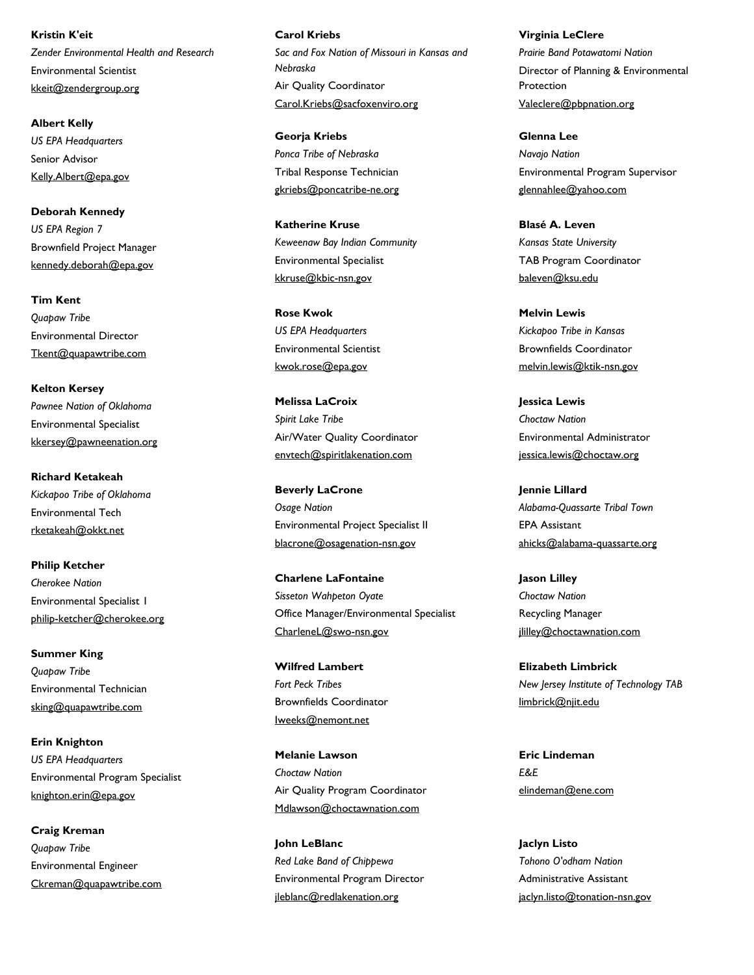Environmental Scientist kkeit@zendergroup.org **Kristin K'eit** *Zender Environmental Health and Research* 

Senior Advisor Kelly.Albert@epa.gov **Albert Kelly** *US EPA Headquarters*

Brownfield Project Manager kennedy.deborah@epa.gov **Deborah Kennedy** *US EPA Region 7*

Environmental Director Tkent@quapawtribe.com **Tim Kent** *Quapaw Tribe*

Environmental Specialist kkersey@pawneenation.org **Kelton Kersey** *Pawnee Nation of Oklahoma*

Environmental Tech rketakeah@okkt.net **Richard Ketakeah** *Kickapoo Tribe of Oklahoma*

Environmental Specialist 1 philip-ketcher@cherokee.org **Philip Ketcher** *Cherokee Nation*

Environmental Technician sking@quapawtribe.com **Summer King** *Quapaw Tribe*

Environmental Program Specialist knighton.erin@epa.gov **Erin Knighton** *US EPA Headquarters*

Environmental Engineer Ckreman@quapawtribe.com **Craig Kreman** *Quapaw Tribe*

Air Quality Coordinator Carol.Kriebs@sacfoxenviro.org **Carol Kriebs** *Sac and Fox Nation of Missouri in Kansas and Nebraska*

Tribal Response Technician gkriebs@poncatribe-ne.org **Georja Kriebs** *Ponca Tribe of Nebraska*

Environmental Specialist kkruse@kbic-nsn.gov **Katherine Kruse** *Keweenaw Bay Indian Community*

Environmental Scientist kwok.rose@epa.gov **Rose Kwok** *US EPA Headquarters*

Air/Water Quality Coordinator envtech@spiritlakenation.com **Melissa LaCroix** *Spirit Lake Tribe*

Environmental Project Specialist II blacrone@osagenation-nsn.gov **Beverly LaCrone** *Osage Nation*

Office Manager/Environmental Specialist CharleneL@swo-nsn.gov **Charlene LaFontaine** *Sisseton Wahpeton Oyate*

Brownfields Coordinator Iweeks@nemont.net **Wilfred Lambert** *Fort Peck Tribes*

Air Quality Program Coordinator Mdlawson@choctawnation.com **Melanie Lawson** *Choctaw Nation*

Environmental Program Director jleblanc@redlakenation.org **John LeBlanc** *Red Lake Band of Chippewa*

Director of Planning & Environmental Protection Valeclere@pbpnation.org **Virginia LeClere** *Prairie Band Potawatomi Nation*

Environmental Program Supervisor glennahlee@yahoo.com **Glenna Lee** *Navajo Nation*

TAB Program Coordinator baleven@ksu.edu **Blasé A. Leven** *Kansas State University*

Brownfields Coordinator melvin.lewis@ktik-nsn.gov **Melvin Lewis** *Kickapoo Tribe in Kansas*

Environmental Administrator jessica.lewis@choctaw.org **Jessica Lewis** *Choctaw Nation*

EPA Assistant ahicks@alabama-quassarte.org **Jennie Lillard** *Alabama-Quassarte Tribal Town*

Recycling Manager jlilley@choctawnation.com **Jason Lilley** *Choctaw Nation*

limbrick@njit.edu **Elizabeth Limbrick** *New Jersey Institute of Technology TAB*

elindeman@ene.com **Eric Lindeman** *E&E*

Administrative Assistant jaclyn.listo@tonation-nsn.gov **Jaclyn Listo** *Tohono O'odham Nation*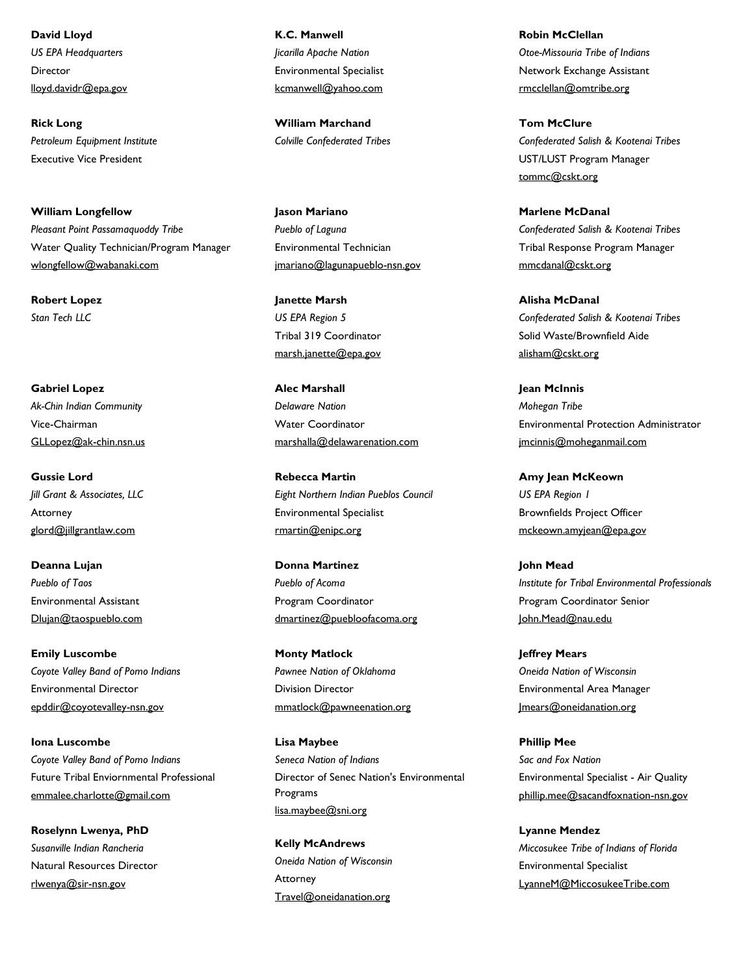Director lloyd.davidr@epa.gov **David Lloyd** *US EPA Headquarters*

Executive Vice President **Rick Long** *Petroleum Equipment Institute*

Water Quality Technician/Program Manager wlongfellow@wabanaki.com **William Longfellow** *Pleasant Point Passamaquoddy Tribe*

**Robert Lopez** *Stan Tech LLC*

Vice-Chairman GLLopez@ak-chin.nsn.us **Gabriel Lopez** *Ak-Chin Indian Community*

Attorney glord@jillgrantlaw.com **Gussie Lord** *Jill Grant & Associates, LLC*

Environmental Assistant Dlujan@taospueblo.com **Deanna Lujan** *Pueblo of Taos*

Environmental Director epddir@coyotevalley-nsn.gov **Emily Luscombe** *Coyote Valley Band of Pomo Indians*

Future Tribal Enviornmental Professional emmalee.charlotte@gmail.com **Iona Luscombe** *Coyote Valley Band of Pomo Indians*

Natural Resources Director rlwenya@sir-nsn.gov **Roselynn Lwenya, PhD** *Susanville Indian Rancheria*

Environmental Specialist kcmanwell@yahoo.com **K.C. Manwell** *Jicarilla Apache Nation*

**William Marchand** *Colville Confederated Tribes*

Environmental Technician jmariano@lagunapueblo-nsn.gov **Jason Mariano** *Pueblo of Laguna*

Tribal 319 Coordinator marsh.janette@epa.gov **Janette Marsh** *US EPA Region 5*

Water Coordinator marshalla@delawarenation.com **Alec Marshall** *Delaware Nation*

Environmental Specialist rmartin@enipc.org **Rebecca Martin** *Eight Northern Indian Pueblos Council*

Program Coordinator dmartinez@puebloofacoma.org **Donna Martinez** *Pueblo of Acoma*

Division Director mmatlock@pawneenation.org **Monty Matlock** *Pawnee Nation of Oklahoma*

Director of Senec Nation's Environmental Programs lisa.maybee@sni.org **Lisa Maybee** *Seneca Nation of Indians*

Attorney Travel@oneidanation.org **Kelly McAndrews** *Oneida Nation of Wisconsin* Network Exchange Assistant rmcclellan@omtribe.org **Robin McClellan** *Otoe-Missouria Tribe of Indians*

UST/LUST Program Manager tommc@cskt.org **Tom McClure** *Confederated Salish & Kootenai Tribes*

Tribal Response Program Manager mmcdanal@cskt.org **Marlene McDanal** *Confederated Salish & Kootenai Tribes*

Solid Waste/Brownfield Aide alisham@cskt.org **Alisha McDanal** *Confederated Salish & Kootenai Tribes*

Environmental Protection Administrator jmcinnis@moheganmail.com **Jean McInnis** *Mohegan Tribe*

Brownfields Project Officer mckeown.amyjean@epa.gov **Amy Jean McKeown** *US EPA Region 1*

Program Coordinator Senior John.Mead@nau.edu **John Mead** *Institute for Tribal Environmental Professionals*

Environmental Area Manager Jmears@oneidanation.org **Jeffrey Mears** *Oneida Nation of Wisconsin*

Environmental Specialist - Air Quality phillip.mee@sacandfoxnation-nsn.gov **Phillip Mee** *Sac and Fox Nation*

Environmental Specialist LyanneM@MiccosukeeTribe.com **Lyanne Mendez** *Miccosukee Tribe of Indians of Florida*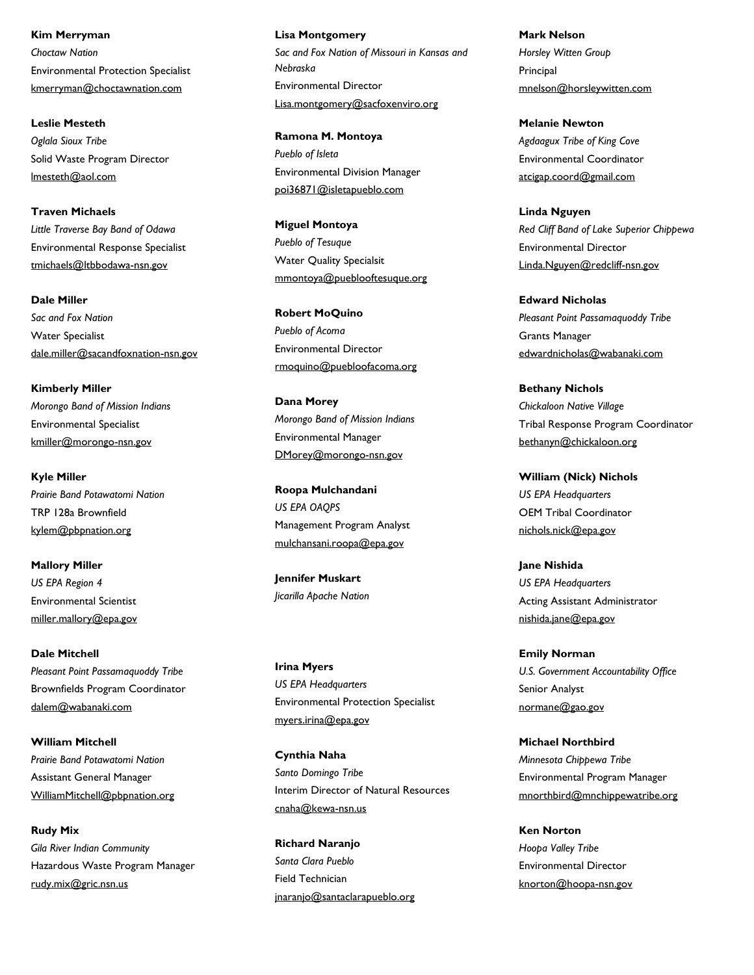Environmental Protection Specialist kmerryman@choctawnation.com **Kim Merryman** *Choctaw Nation*

Solid Waste Program Director lmesteth@aol.com **Leslie Mesteth** *Oglala Sioux Tribe*

Environmental Response Specialist tmichaels@ltbbodawa-nsn.gov **Traven Michaels** *Little Traverse Bay Band of Odawa*

Water Specialist dale.miller@sacandfoxnation-nsn.gov **Dale Miller** *Sac and Fox Nation*

Environmental Specialist kmiller@morongo-nsn.gov **Kimberly Miller** *Morongo Band of Mission Indians*

TRP 128a Brownfield kylem@pbpnation.org **Kyle Miller** *Prairie Band Potawatomi Nation*

Environmental Scientist miller.mallory@epa.gov **Mallory Miller** *US EPA Region 4*

Brownfields Program Coordinator dalem@wabanaki.com **Dale Mitchell** *Pleasant Point Passamaquoddy Tribe*

Assistant General Manager WilliamMitchell@pbpnation.org **William Mitchell** *Prairie Band Potawatomi Nation*

Hazardous Waste Program Manager rudy.mix@gric.nsn.us **Rudy Mix** *Gila River Indian Community*

Environmental Director Lisa.montgomery@sacfoxenviro.org **Lisa Montgomery** *Sac and Fox Nation of Missouri in Kansas and Nebraska*

Environmental Division Manager poi36871@isletapueblo.com **Ramona M. Montoya** *Pueblo of Isleta*

Water Quality Specialsit mmontoya@pueblooftesuque.org **Miguel Montoya** *Pueblo of Tesuque*

Environmental Director rmoquino@puebloofacoma.org **Robert MoQuino** *Pueblo of Acoma*

Environmental Manager DMorey@morongo-nsn.gov **Dana Morey** *Morongo Band of Mission Indians*

Management Program Analyst mulchansani.roopa@epa.gov **Roopa Mulchandani** *US EPA OAQPS*

**Jennifer Muskart** *Jicarilla Apache Nation*

Environmental Protection Specialist myers.irina@epa.gov **Irina Myers** *US EPA Headquarters*

Interim Director of Natural Resources cnaha@kewa-nsn.us **Cynthia Naha** *Santo Domingo Tribe*

Field Technician jnaranjo@santaclarapueblo.org **Richard Naranjo** *Santa Clara Pueblo*

**Principal** mnelson@horsleywitten.com **Mark Nelson** *Horsley Witten Group*

Environmental Coordinator atcigap.coord@gmail.com **Melanie Newton** *Agdaagux Tribe of King Cove*

Environmental Director Linda.Nguyen@redcliff-nsn.gov **Linda Nguyen** *Red Cliff Band of Lake Superior Chippewa*

Grants Manager edwardnicholas@wabanaki.com **Edward Nicholas** *Pleasant Point Passamaquoddy Tribe*

Tribal Response Program Coordinator bethanyn@chickaloon.org **Bethany Nichols** *Chickaloon Native Village*

OEM Tribal Coordinator nichols.nick@epa.gov **William (Nick) Nichols** *US EPA Headquarters*

Acting Assistant Administrator nishida.jane@epa.gov **Jane Nishida** *US EPA Headquarters*

Senior Analyst normane@gao.gov **Emily Norman** *U.S. Government Accountability Office*

Environmental Program Manager mnorthbird@mnchippewatribe.org **Michael Northbird** *Minnesota Chippewa Tribe*

Environmental Director knorton@hoopa-nsn.gov **Ken Norton** *Hoopa Valley Tribe*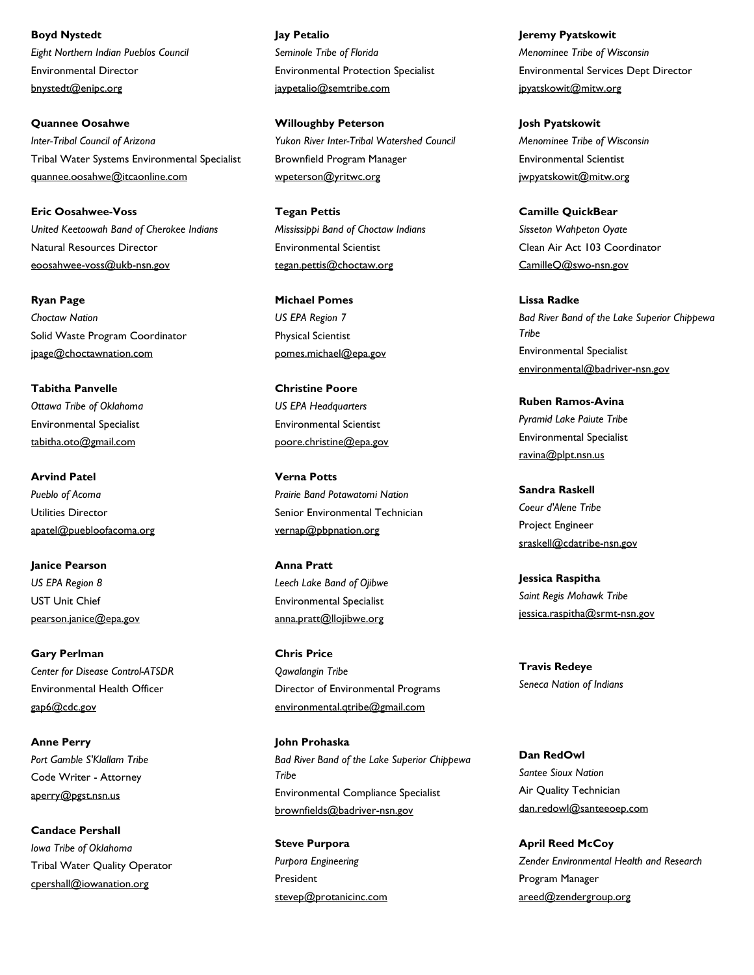Environmental Director bnystedt@enipc.org **Boyd Nystedt** *Eight Northern Indian Pueblos Council*

Tribal Water Systems Environmental Specialist quannee.oosahwe@itcaonline.com **Quannee Oosahwe** *Inter-Tribal Council of Arizona*

Natural Resources Director eoosahwee-voss@ukb-nsn.gov **Eric Oosahwee-Voss** *United Keetoowah Band of Cherokee Indians*

Solid Waste Program Coordinator jpage@choctawnation.com **Ryan Page** *Choctaw Nation*

Environmental Specialist tabitha.oto@gmail.com **Tabitha Panvelle** *Ottawa Tribe of Oklahoma*

Utilities Director apatel@puebloofacoma.org **Arvind Patel** *Pueblo of Acoma*

UST Unit Chief pearson.janice@epa.gov **Janice Pearson** *US EPA Region 8*

Environmental Health Officer gap6@cdc.gov **Gary Perlman** *Center for Disease Control-ATSDR*

Code Writer - Attorney aperry@pgst.nsn.us **Anne Perry** *Port Gamble S'Klallam Tribe*

Tribal Water Quality Operator cpershall@iowanation.org **Candace Pershall** *Iowa Tribe of Oklahoma*

Environmental Protection Specialist jaypetalio@semtribe.com **Jay Petalio** *Seminole Tribe of Florida*

Brownfield Program Manager wpeterson@yritwc.org **Willoughby Peterson** *Yukon River Inter-Tribal Watershed Council*

Environmental Scientist tegan.pettis@choctaw.org **Tegan Pettis** *Mississippi Band of Choctaw Indians*

Physical Scientist pomes.michael@epa.gov **Michael Pomes** *US EPA Region 7*

Environmental Scientist poore.christine@epa.gov **Christine Poore** *US EPA Headquarters*

Senior Environmental Technician vernap@pbpnation.org **Verna Potts** *Prairie Band Potawatomi Nation*

Environmental Specialist anna.pratt@llojibwe.org **Anna Pratt** *Leech Lake Band of Ojibwe*

Director of Environmental Programs environmental.qtribe@gmail.com **Chris Price** *Qawalangin Tribe*

Environmental Compliance Specialist brownfields@badriver-nsn.gov **John Prohaska** *Bad River Band of the Lake Superior Chippewa Tribe*

President stevep@protanicinc.com **Steve Purpora** *Purpora Engineering*

Environmental Services Dept Director jpyatskowit@mitw.org **Jeremy Pyatskowit** *Menominee Tribe of Wisconsin*

Environmental Scientist jwpyatskowit@mitw.org **Josh Pyatskowit** *Menominee Tribe of Wisconsin*

Clean Air Act 103 Coordinator CamilleQ@swo-nsn.gov **Camille QuickBear** *Sisseton Wahpeton Oyate*

Environmental Specialist environmental@badriver-nsn.gov **Lissa Radke** *Bad River Band of the Lake Superior Chippewa Tribe*

Environmental Specialist ravina@plpt.nsn.us **Ruben Ramos-Avina** *Pyramid Lake Paiute Tribe*

Project Engineer sraskell@cdatribe-nsn.gov **Sandra Raskell** *Coeur d'Alene Tribe*

jessica.raspitha@srmt-nsn.gov **Jessica Raspitha** *Saint Regis Mohawk Tribe*

**Travis Redeye** *Seneca Nation of Indians*

Air Quality Technician dan.redowl@santeeoep.com **Dan RedOwl** *Santee Sioux Nation*

Program Manager areed@zendergroup.org **April Reed McCoy** *Zender Environmental Health and Research*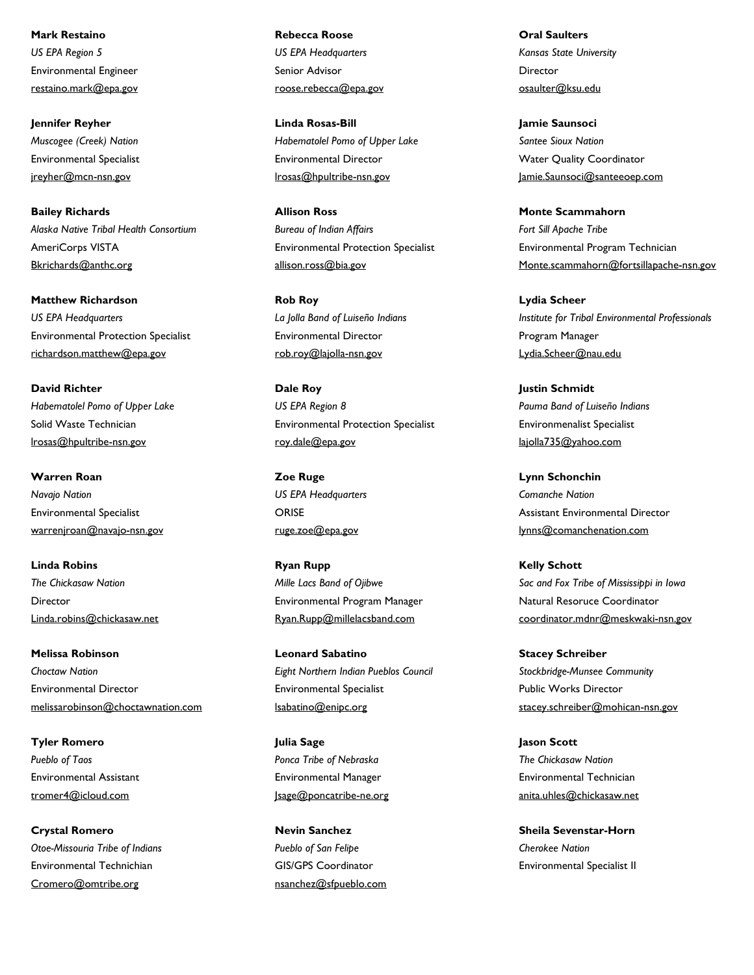Environmental Engineer restaino.mark@epa.gov **Mark Restaino** *US EPA Region 5*

Environmental Specialist jreyher@mcn-nsn.gov **Jennifer Reyher** *Muscogee (Creek) Nation*

AmeriCorps VISTA Bkrichards@anthc.org **Bailey Richards** *Alaska Native Tribal Health Consortium*

Environmental Protection Specialist richardson.matthew@epa.gov **Matthew Richardson** *US EPA Headquarters*

Solid Waste Technician lrosas@hpultribe-nsn.gov **David Richter** *Habematolel Pomo of Upper Lake*

Environmental Specialist warrenjroan@navajo-nsn.gov **Warren Roan** *Navajo Nation*

Director Linda.robins@chickasaw.net **Linda Robins** *The Chickasaw Nation*

Environmental Director melissarobinson@choctawnation.com **Melissa Robinson** *Choctaw Nation*

Environmental Assistant tromer4@icloud.com **Tyler Romero** *Pueblo of Taos*

Environmental Technichian Cromero@omtribe.org **Crystal Romero** *Otoe-Missouria Tribe of Indians* Senior Advisor roose.rebecca@epa.gov **Rebecca Roose** *US EPA Headquarters*

Environmental Director lrosas@hpultribe-nsn.gov **Linda Rosas-Bill** *Habematolel Pomo of Upper Lake*

Environmental Protection Specialist allison.ross@bia.gov **Allison Ross** *Bureau of Indian Affairs*

Environmental Director rob.roy@lajolla-nsn.gov **Rob Roy** *La Jolla Band of Luiseño Indians*

Environmental Protection Specialist roy.dale@epa.gov **Dale Roy** *US EPA Region 8*

ORISE ruge.zoe@epa.gov **Zoe Ruge** *US EPA Headquarters*

Environmental Program Manager Ryan.Rupp@millelacsband.com **Ryan Rupp** *Mille Lacs Band of Ojibwe*

Environmental Specialist lsabatino@enipc.org **Leonard Sabatino** *Eight Northern Indian Pueblos Council*

Environmental Manager Jsage@poncatribe-ne.org **Julia Sage** *Ponca Tribe of Nebraska*

GIS/GPS Coordinator nsanchez@sfpueblo.com **Nevin Sanchez** *Pueblo of San Felipe*

Director osaulter@ksu.edu **Oral Saulters** *Kansas State University*

Water Quality Coordinator Jamie.Saunsoci@santeeoep.com **Jamie Saunsoci** *Santee Sioux Nation*

Environmental Program Technician Monte.scammahorn@fortsillapache-nsn.gov **Monte Scammahorn** *Fort Sill Apache Tribe*

Program Manager Lydia.Scheer@nau.edu **Lydia Scheer** *Institute for Tribal Environmental Professionals*

Environmenalist Specialist lajolla735@yahoo.com **Justin Schmidt** *Pauma Band of Luiseño Indians*

Assistant Environmental Director lynns@comanchenation.com **Lynn Schonchin** *Comanche Nation*

Natural Resoruce Coordinator coordinator.mdnr@meskwaki-nsn.gov **Kelly Schott** *Sac and Fox Tribe of Mississippi in Iowa*

Public Works Director stacey.schreiber@mohican-nsn.gov **Stacey Schreiber** *Stockbridge-Munsee Community*

Environmental Technician anita.uhles@chickasaw.net **Jason Scott** *The Chickasaw Nation*

Environmental Specialist II **Sheila Sevenstar-Horn** *Cherokee Nation*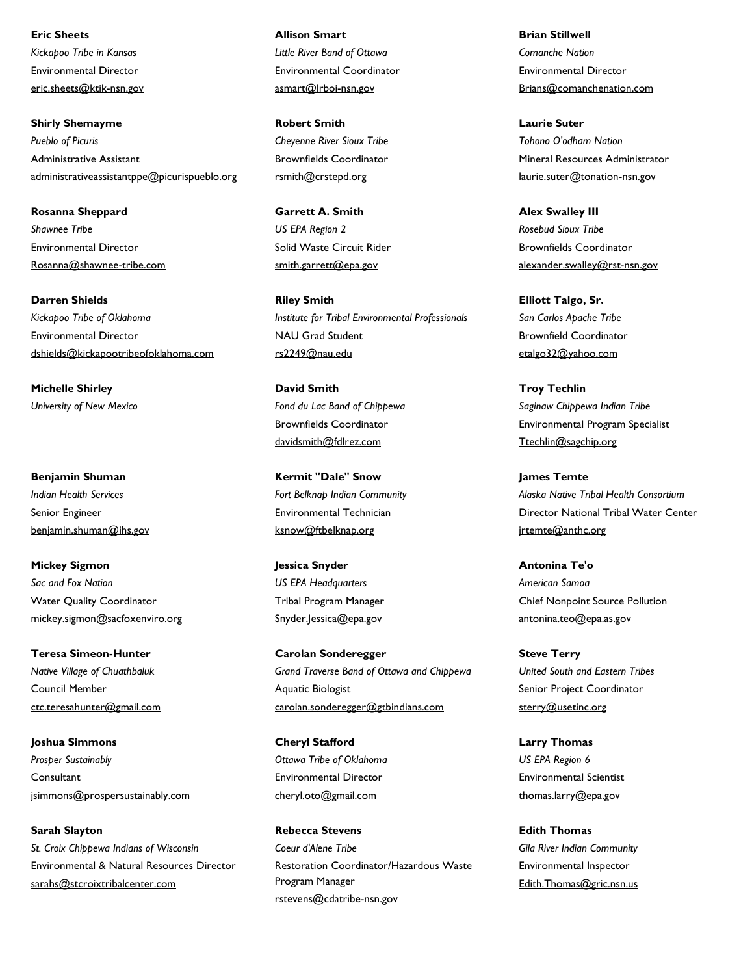Environmental Director eric.sheets@ktik-nsn.gov **Eric Sheets** *Kickapoo Tribe in Kansas*

Administrative Assistant administrativeassistantppe@picurispueblo.org **Shirly Shemayme** *Pueblo of Picuris*

Environmental Director Rosanna@shawnee-tribe.com **Rosanna Sheppard** *Shawnee Tribe*

Environmental Director dshields@kickapootribeofoklahoma.com **Darren Shields** *Kickapoo Tribe of Oklahoma*

**Michelle Shirley** *University of New Mexico*

Senior Engineer benjamin.shuman@ihs.gov **Benjamin Shuman** *Indian Health Services*

Water Quality Coordinator mickey.sigmon@sacfoxenviro.org **Mickey Sigmon** *Sac and Fox Nation*

Council Member ctc.teresahunter@gmail.com **Teresa Simeon-Hunter** *Native Village of Chuathbaluk*

**Consultant** jsimmons@prospersustainably.com **Joshua Simmons** *Prosper Sustainably*

Environmental & Natural Resources Director sarahs@stcroixtribalcenter.com **Sarah Slayton** *St. Croix Chippewa Indians of Wisconsin*

Environmental Coordinator asmart@lrboi-nsn.gov **Allison Smart** *Little River Band of Ottawa*

Brownfields Coordinator rsmith@crstepd.org **Robert Smith** *Cheyenne River Sioux Tribe*

Solid Waste Circuit Rider smith.garrett@epa.gov **Garrett A. Smith** *US EPA Region 2*

NAU Grad Student rs2249@nau.edu **Riley Smith** *Institute for Tribal Environmental Professionals*

Brownfields Coordinator davidsmith@fdlrez.com **David Smith** *Fond du Lac Band of Chippewa*

Environmental Technician ksnow@ftbelknap.org **Kermit "Dale" Snow** *Fort Belknap Indian Community*

Tribal Program Manager Snyder.Jessica@epa.gov **Jessica Snyder** *US EPA Headquarters*

Aquatic Biologist carolan.sonderegger@gtbindians.com **Carolan Sonderegger** *Grand Traverse Band of Ottawa and Chippewa*

Environmental Director cheryl.oto@gmail.com **Cheryl Stafford** *Ottawa Tribe of Oklahoma*

Restoration Coordinator/Hazardous Waste Program Manager rstevens@cdatribe-nsn.gov **Rebecca Stevens** *Coeur d'Alene Tribe*

Environmental Director Brians@comanchenation.com **Brian Stillwell** *Comanche Nation*

Mineral Resources Administrator laurie.suter@tonation-nsn.gov **Laurie Suter** *Tohono O'odham Nation*

Brownfields Coordinator alexander.swalley@rst-nsn.gov **Alex Swalley III** *Rosebud Sioux Tribe*

Brownfield Coordinator etalgo32@yahoo.com **Elliott Talgo, Sr.** *San Carlos Apache Tribe*

Environmental Program Specialist Ttechlin@sagchip.org **Troy Techlin** *Saginaw Chippewa Indian Tribe*

Director National Tribal Water Center jrtemte@anthc.org **James Temte** *Alaska Native Tribal Health Consortium*

Chief Nonpoint Source Pollution antonina.teo@epa.as.gov **Antonina Te'o** *American Samoa*

Senior Project Coordinator sterry@usetinc.org **Steve Terry** *United South and Eastern Tribes*

Environmental Scientist thomas.larry@epa.gov **Larry Thomas** *US EPA Region 6*

Environmental Inspector Edith.Thomas@gric.nsn.us **Edith Thomas** *Gila River Indian Community*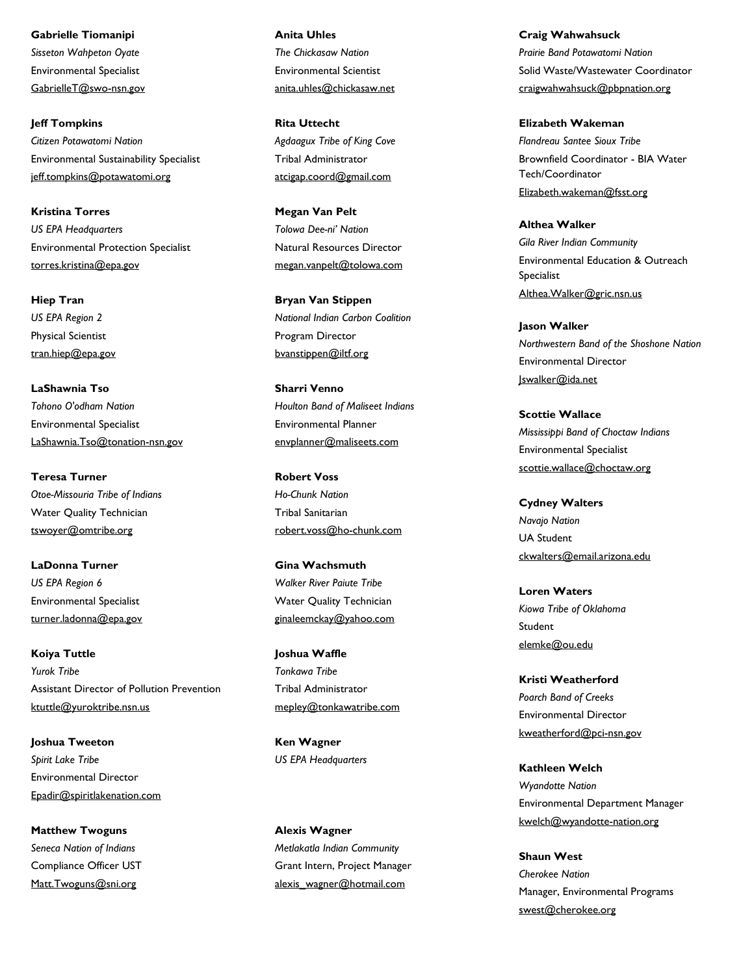Environmental Specialist GabrielleT@swo-nsn.gov **Gabrielle Tiomanipi** *Sisseton Wahpeton Oyate*

Environmental Sustainability Specialist jeff.tompkins@potawatomi.org **Jeff Tompkins** *Citizen Potawatomi Nation*

Environmental Protection Specialist torres.kristina@epa.gov **Kristina Torres** *US EPA Headquarters*

Physical Scientist tran.hiep@epa.gov **Hiep Tran** *US EPA Region 2*

Environmental Specialist LaShawnia.Tso@tonation-nsn.gov **LaShawnia Tso** *Tohono O'odham Nation*

Water Quality Technician tswoyer@omtribe.org **Teresa Turner** *Otoe-Missouria Tribe of Indians*

Environmental Specialist turner.ladonna@epa.gov **LaDonna Turner** *US EPA Region 6*

Assistant Director of Pollution Prevention ktuttle@yuroktribe.nsn.us **Koiya Tuttle** *Yurok Tribe*

Environmental Director Epadir@spiritlakenation.com **Joshua Tweeton** *Spirit Lake Tribe*

Compliance Officer UST Matt.Twoguns@sni.org **Matthew Twoguns** *Seneca Nation of Indians*

Environmental Scientist anita.uhles@chickasaw.net **Anita Uhles** *The Chickasaw Nation*

Tribal Administrator atcigap.coord@gmail.com **Rita Uttecht** *Agdaagux Tribe of King Cove*

Natural Resources Director megan.vanpelt@tolowa.com **Megan Van Pelt** *Tolowa Dee-ni' Nation*

Program Director bvanstippen@iltf.org **Bryan Van Stippen** *National Indian Carbon Coalition*

Environmental Planner envplanner@maliseets.com **Sharri Venno** *Houlton Band of Maliseet Indians*

Tribal Sanitarian robert.voss@ho-chunk.com **Robert Voss** *Ho-Chunk Nation*

Water Quality Technician ginaleemckay@yahoo.com **Gina Wachsmuth** *Walker River Paiute Tribe*

Tribal Administrator mepley@tonkawatribe.com **Joshua Waffle** *Tonkawa Tribe*

**Ken Wagner** *US EPA Headquarters*

Grant Intern, Project Manager alexis\_wagner@hotmail.com **Alexis Wagner** *Metlakatla Indian Community*

Solid Waste/Wastewater Coordinator craigwahwahsuck@pbpnation.org **Craig Wahwahsuck** *Prairie Band Potawatomi Nation*

Brownfield Coordinator - BIA Water Tech/Coordinator Elizabeth.wakeman@fsst.org **Elizabeth Wakeman** *Flandreau Santee Sioux Tribe*

Environmental Education & Outreach Specialist Althea.Walker@gric.nsn.us **Althea Walker** *Gila River Indian Community*

Environmental Director Jswalker@ida.net **Jason Walker** *Northwestern Band of the Shoshone Nation*

Environmental Specialist scottie.wallace@choctaw.org **Scottie Wallace** *Mississippi Band of Choctaw Indians*

UA Student ckwalters@email.arizona.edu **Cydney Walters** *Navajo Nation*

Student elemke@ou.edu **Loren Waters** *Kiowa Tribe of Oklahoma*

Environmental Director kweatherford@pci-nsn.gov **Kristi Weatherford** *Poarch Band of Creeks*

Environmental Department Manager kwelch@wyandotte-nation.org **Kathleen Welch** *Wyandotte Nation*

Manager, Environmental Programs swest@cherokee.org **Shaun West** *Cherokee Nation*